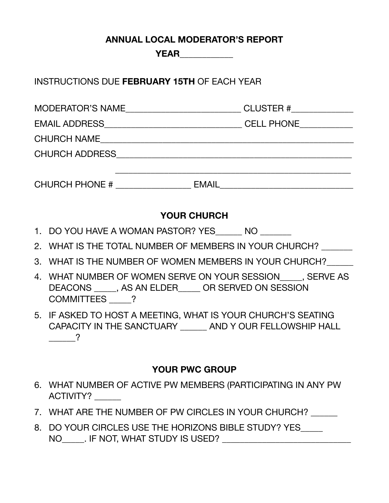### **ANNUAL LOCAL MODERATOR'S REPORT**

**YEAR\_\_\_\_\_\_\_\_\_\_\_\_** 

INSTRUCTIONS DUE **FEBRUARY 15TH** OF EACH YEAR

| <b>MODERATOR'S NAME</b> | CLUSTER #______________ |
|-------------------------|-------------------------|
|                         | <b>CELL PHONE</b>       |
| <b>CHURCH NAME</b>      |                         |
| <b>CHURCH ADDRESS</b>   |                         |
|                         |                         |
| <b>CHURCH PHONE #</b>   | <b>EMAIL</b>            |

# **YOUR CHURCH**

- 1. DO YOU HAVE A WOMAN PASTOR? YES NO
- 2. WHAT IS THE TOTAL NUMBER OF MEMBERS IN YOUR CHURCH?
- 3. WHAT IS THE NUMBER OF WOMEN MEMBERS IN YOUR CHURCH?
- 4. WHAT NUMBER OF WOMEN SERVE ON YOUR SESSION\_\_\_\_\_, SERVE AS DEACONS \_\_\_\_\_, AS AN ELDER\_\_\_\_\_ OR SERVED ON SESSION COMMITTEES ?
- 5. IF ASKED TO HOST A MEETING, WHAT IS YOUR CHURCH'S SEATING CAPACITY IN THE SANCTUARY \_\_\_\_\_\_ AND Y OUR FELLOWSHIP HALL  $\overline{\phantom{1}}$  ?

# **YOUR PWC GROUP**

- 6. WHAT NUMBER OF ACTIVE PW MEMBERS (PARTICIPATING IN ANY PW ACTIVITY?
- 7. WHAT ARE THE NUMBER OF PW CIRCLES IN YOUR CHURCH?
- 8. DO YOUR CIRCLES USE THE HORIZONS BIBLE STUDY? YES NO\_\_\_\_\_. IF NOT, WHAT STUDY IS USED? \_\_\_\_\_\_\_\_\_\_\_\_\_\_\_\_\_\_\_\_\_\_\_\_\_\_\_\_\_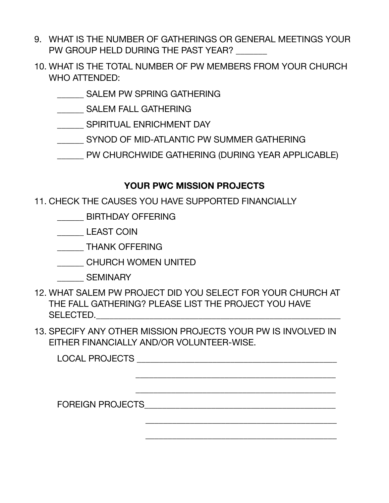- 9. WHAT IS THE NUMBER OF GATHERINGS OR GENERAL MEETINGS YOUR PW GROUP HELD DURING THE PAST YEAR?
- 10. WHAT IS THE TOTAL NUMBER OF PW MEMBERS FROM YOUR CHURCH WHO ATTENDED:
	- \_\_\_\_\_\_ SALEM PW SPRING GATHERING
	- **\_\_\_\_\_\_\_\_ SALEM FALL GATHERING**
	- SPIRITUAL ENRICHMENT DAY
	- SYNOD OF MID-ATLANTIC PW SUMMER GATHERING
	- **EXAMPLE CATHERING (DURING YEAR APPLICABLE)**

# **YOUR PWC MISSION PROJECTS**

- 11. CHECK THE CAUSES YOU HAVE SUPPORTED FINANCIALLY
	- \_\_\_\_\_\_ BIRTHDAY OFFERING
	- \_\_\_\_\_\_ LEAST COIN
	- \_\_\_\_\_\_ THANK OFFERING
	- \_\_\_\_\_\_ CHURCH WOMEN UNITED
	- \_\_\_\_\_\_ SEMINARY
- 12. WHAT SALEM PW PROJECT DID YOU SELECT FOR YOUR CHURCH AT THE FALL GATHERING? PLEASE LIST THE PROJECT YOU HAVE  $SELECTED.$
- 13. SPECIFY ANY OTHER MISSION PROJECTS YOUR PW IS INVOLVED IN EITHER FINANCIALLY AND/OR VOLUNTEER-WISE.

| LOCAL PROJECTS          |  |
|-------------------------|--|
|                         |  |
|                         |  |
| <b>FOREIGN PROJECTS</b> |  |
|                         |  |

 $\frac{1}{\sqrt{2}}$  ,  $\frac{1}{\sqrt{2}}$  ,  $\frac{1}{\sqrt{2}}$  ,  $\frac{1}{\sqrt{2}}$  ,  $\frac{1}{\sqrt{2}}$  ,  $\frac{1}{\sqrt{2}}$  ,  $\frac{1}{\sqrt{2}}$  ,  $\frac{1}{\sqrt{2}}$  ,  $\frac{1}{\sqrt{2}}$  ,  $\frac{1}{\sqrt{2}}$  ,  $\frac{1}{\sqrt{2}}$  ,  $\frac{1}{\sqrt{2}}$  ,  $\frac{1}{\sqrt{2}}$  ,  $\frac{1}{\sqrt{2}}$  ,  $\frac{1}{\sqrt{2}}$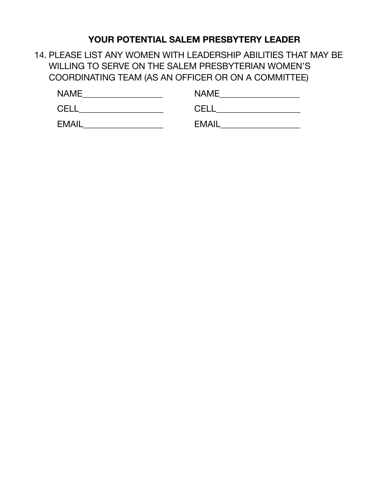# **YOUR POTENTIAL SALEM PRESBYTERY LEADER**

14. PLEASE LIST ANY WOMEN WITH LEADERSHIP ABILITIES THAT MAY BE WILLING TO SERVE ON THE SALEM PRESBYTERIAN WOMEN'S COORDINATING TEAM (AS AN OFFICER OR ON A COMMITTEE)

| <b>NAME</b>  | <b>NAME</b>  |
|--------------|--------------|
| <b>CELI</b>  | <b>CEL</b>   |
| <b>EMAIL</b> | <b>EMAIL</b> |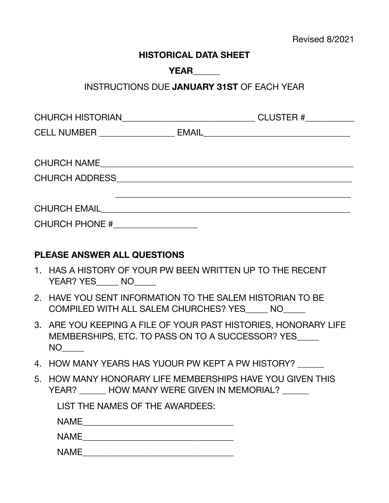#### **HISTORICAL DATA SHEET**

### **YEAR\_\_\_\_\_\_**

### INSTRUCTIONS DUE **JANUARY 31ST** OF EACH YEAR

| CHURCH HISTORIAN <b>CHURCH HISTORIAN</b> | CLUSTER #___________                                                                                             |  |
|------------------------------------------|------------------------------------------------------------------------------------------------------------------|--|
|                                          |                                                                                                                  |  |
|                                          |                                                                                                                  |  |
| <b>CHURCH NAME</b>                       |                                                                                                                  |  |
| <b>CHURCH ADDRESS</b>                    | and the control of the control of the control of the control of the control of the control of the control of the |  |
|                                          |                                                                                                                  |  |
| <b>CHURCH EMAIL CHURCH EMAIL</b>         |                                                                                                                  |  |
| CHURCH PHONE #                           |                                                                                                                  |  |

### **PLEASE ANSWER ALL QUESTIONS**

- 1. HAS A HISTORY OF YOUR PW BEEN WRITTEN UP TO THE RECENT YEAR? YES\_\_\_\_\_ NO\_\_\_\_\_
- 2. HAVE YOU SENT INFORMATION TO THE SALEM HISTORIAN TO BE COMPILED WITH ALL SALEM CHURCHES? YES\_\_\_\_\_ NO\_\_\_\_\_
- 3. ARE YOU KEEPING A FILE OF YOUR PAST HISTORIES, HONORARY LIFE MEMBERSHIPS, ETC. TO PASS ON TO A SUCCESSOR? YES  $NO$
- 4. HOW MANY YEARS HAS YUOUR PW KEPT A PW HISTORY?
- 5. HOW MANY HONORARY LIFE MEMBERSHIPS HAVE YOU GIVEN THIS YEAR? HOW MANY WERE GIVEN IN MEMORIAL?

| LIST THE NAMES OF THE AWARDEES: |  |
|---------------------------------|--|
| NAME                            |  |
| <b>NAME</b>                     |  |
| <b>NAME</b>                     |  |